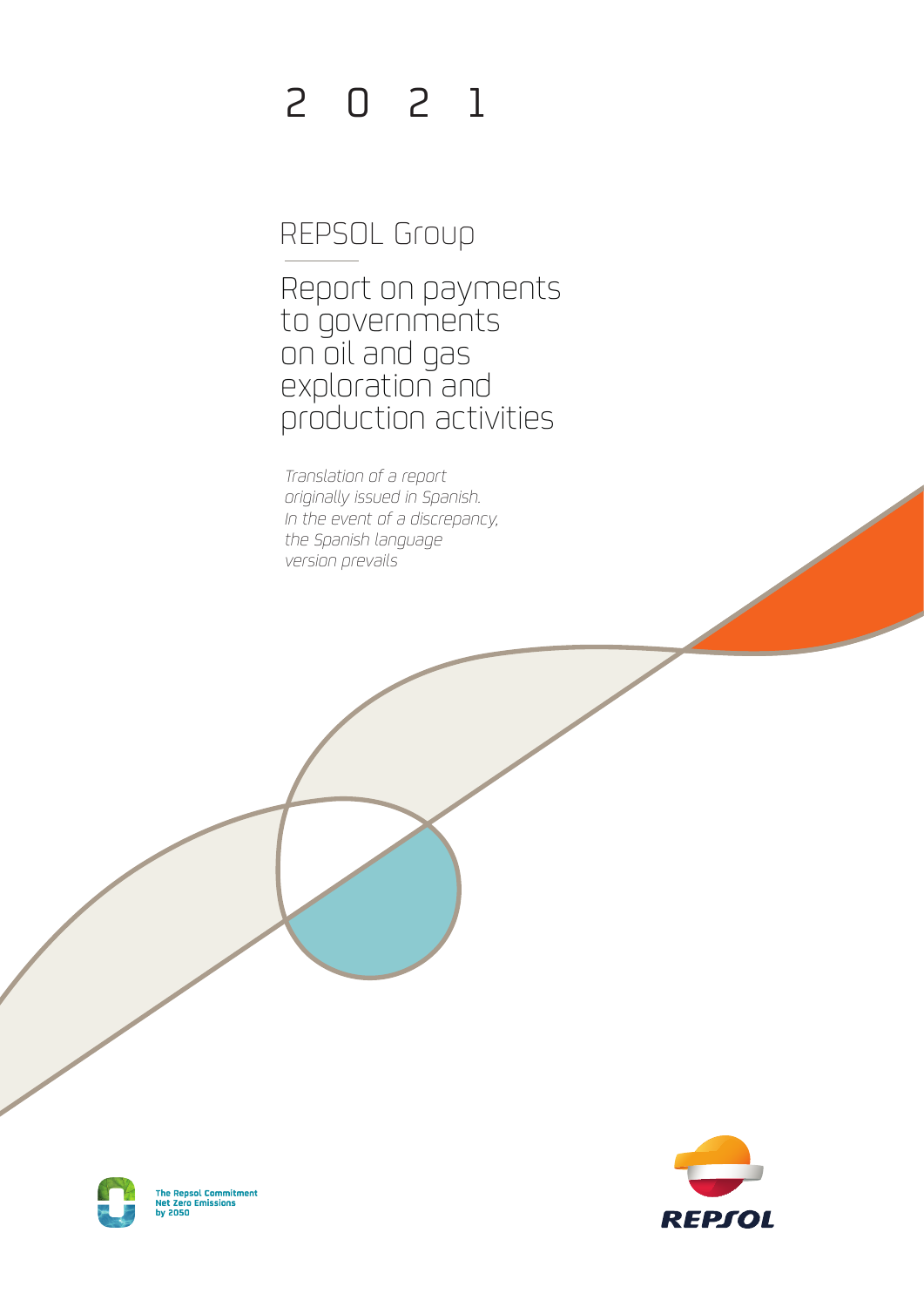# 2 0 2 1

# REPSOL Group

Report on payments to governments on oil and gas exploration and production activities

*Translation of a report originally issued in Spanish. In the event of a discrepancy, the Spanish language version prevails*



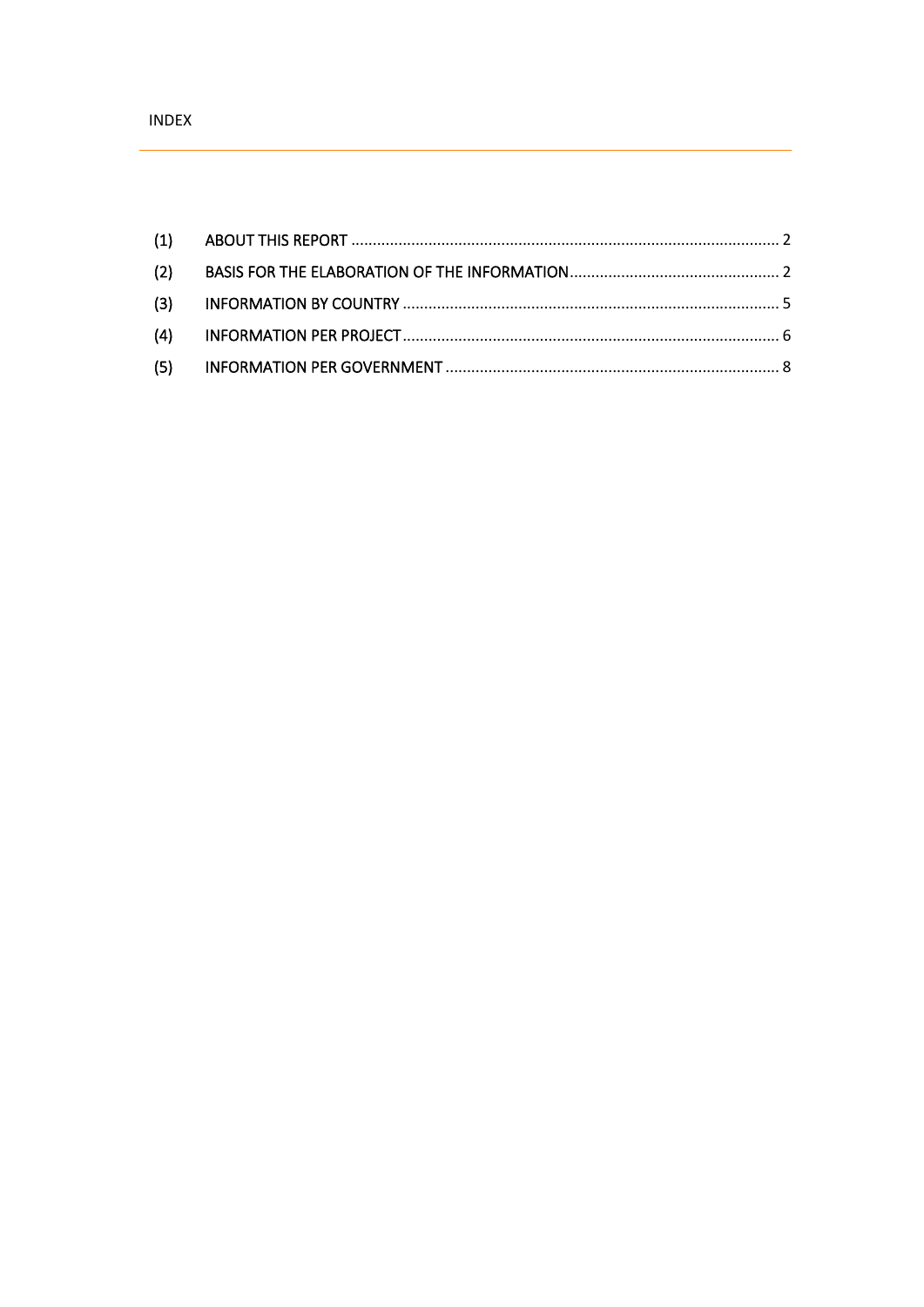| (2) |  |
|-----|--|
|     |  |
|     |  |
|     |  |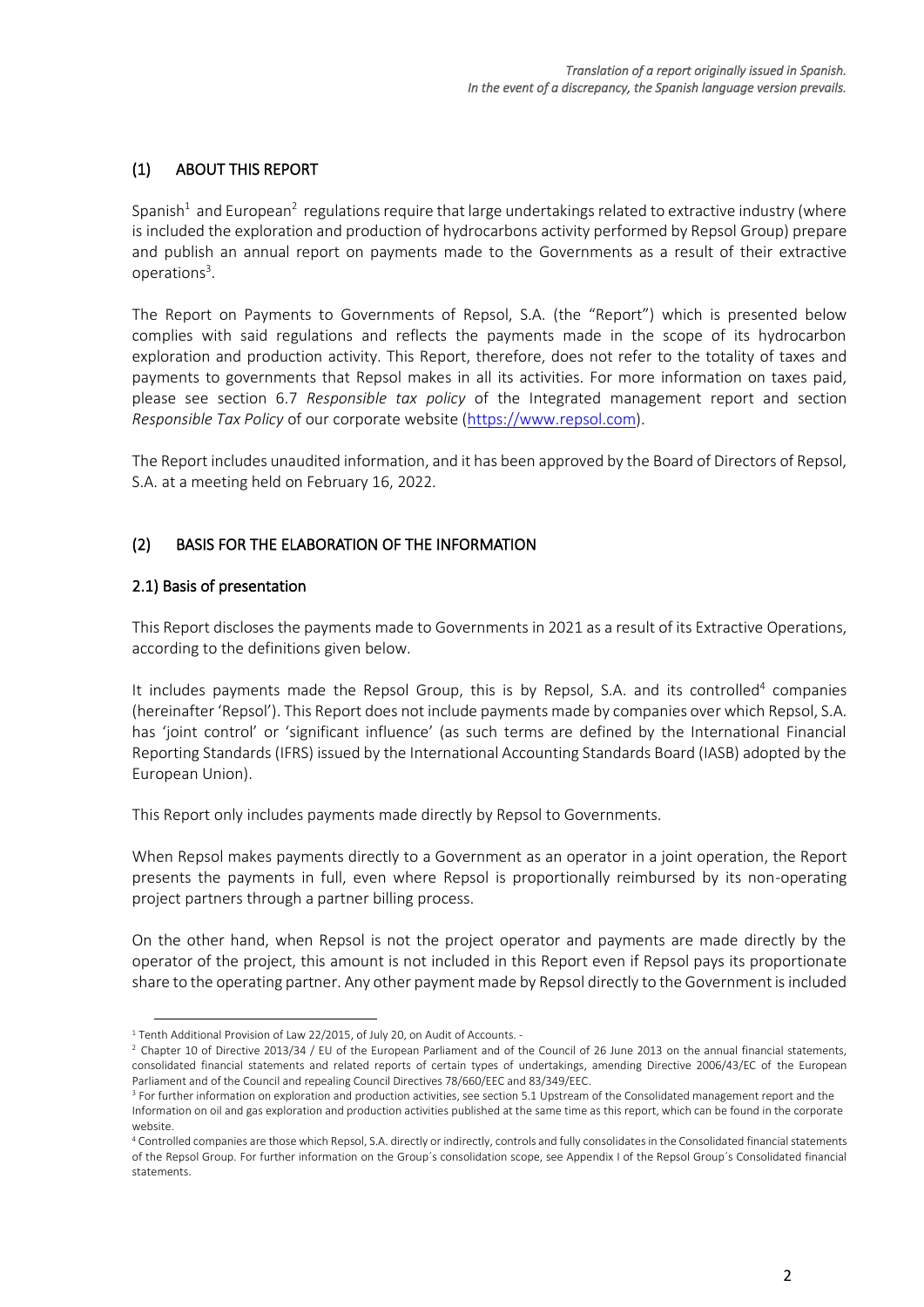# <span id="page-2-0"></span>(1) ABOUT THIS REPORT

Spanish<sup>1</sup> and European<sup>2</sup> regulations require that large undertakings related to extractive industry (where is included the exploration and production of hydrocarbons activity performed by Repsol Group) prepare and publish an annual report on payments made to the Governments as a result of their extractive operations<sup>3</sup>.

The Report on Payments to Governments of Repsol, S.A. (the "Report") which is presented below complies with said regulations and reflects the payments made in the scope of its hydrocarbon exploration and production activity. This Report, therefore, does not refer to the totality of taxes and payments to governments that Repsol makes in all its activities. For more information on taxes paid, please see section 6.7 *Responsible tax policy* of the Integrated management report and section *Responsible Tax Policy* of our corporate website [\(https://www.repsol.com\)](https://www.repsol.com/es/sostenibilidad/fiscalidad-responsable/index.cshtml).

The Report includes unaudited information, and it has been approved by the Board of Directors of Repsol, S.A. at a meeting held on February 16, 2022.

### <span id="page-2-1"></span>(2) BASIS FOR THE ELABORATION OF THE INFORMATION

### 2.1) Basis of presentation

This Report discloses the payments made to Governments in 2021 as a result of its Extractive Operations, according to the definitions given below.

It includes payments made the Repsol Group, this is by Repsol, S.A. and its controlled<sup>4</sup> companies (hereinafter 'Repsol'). This Report does not include payments made by companies over which Repsol, S.A. has 'joint control' or 'significant influence' (as such terms are defined by the International Financial Reporting Standards (IFRS) issued by the International Accounting Standards Board (IASB) adopted by the European Union).

This Report only includes payments made directly by Repsol to Governments.

When Repsol makes payments directly to a Government as an operator in a joint operation, the Report presents the payments in full, even where Repsol is proportionally reimbursed by its non-operating project partners through a partner billing process.

On the other hand, when Repsol is not the project operator and payments are made directly by the operator of the project, this amount is not included in this Report even if Repsol pays its proportionate share to the operating partner. Any other payment made by Repsol directly to the Government is included

<sup>&</sup>lt;sup>1</sup> Tenth Additional Provision of Law 22/2015, of July 20, on Audit of Accounts. -

 $2$  Chapter 10 of Directive 2013/34 / EU of the European Parliament and of the Council of 26 June 2013 on the annual financial statements, consolidated financial statements and related reports of certain types of undertakings, amending Directive 2006/43/EC of the European Parliament and of the Council and repealing Council Directives 78/660/EEC and 83/349/EEC.

<sup>&</sup>lt;sup>3</sup> For further information on exploration and production activities, see section 5.1 Upstream of the Consolidated management report and the Information on oil and gas exploration and production activities published at the same time as this report, which can be found in the corporate website.

<sup>4</sup> Controlled companies are those which Repsol, S.A. directly or indirectly, controls and fully consolidates in the Consolidated financial statements of the Repsol Group. For further information on the Group´s consolidation scope, see Appendix I of the Repsol Group´s Consolidated financial statements.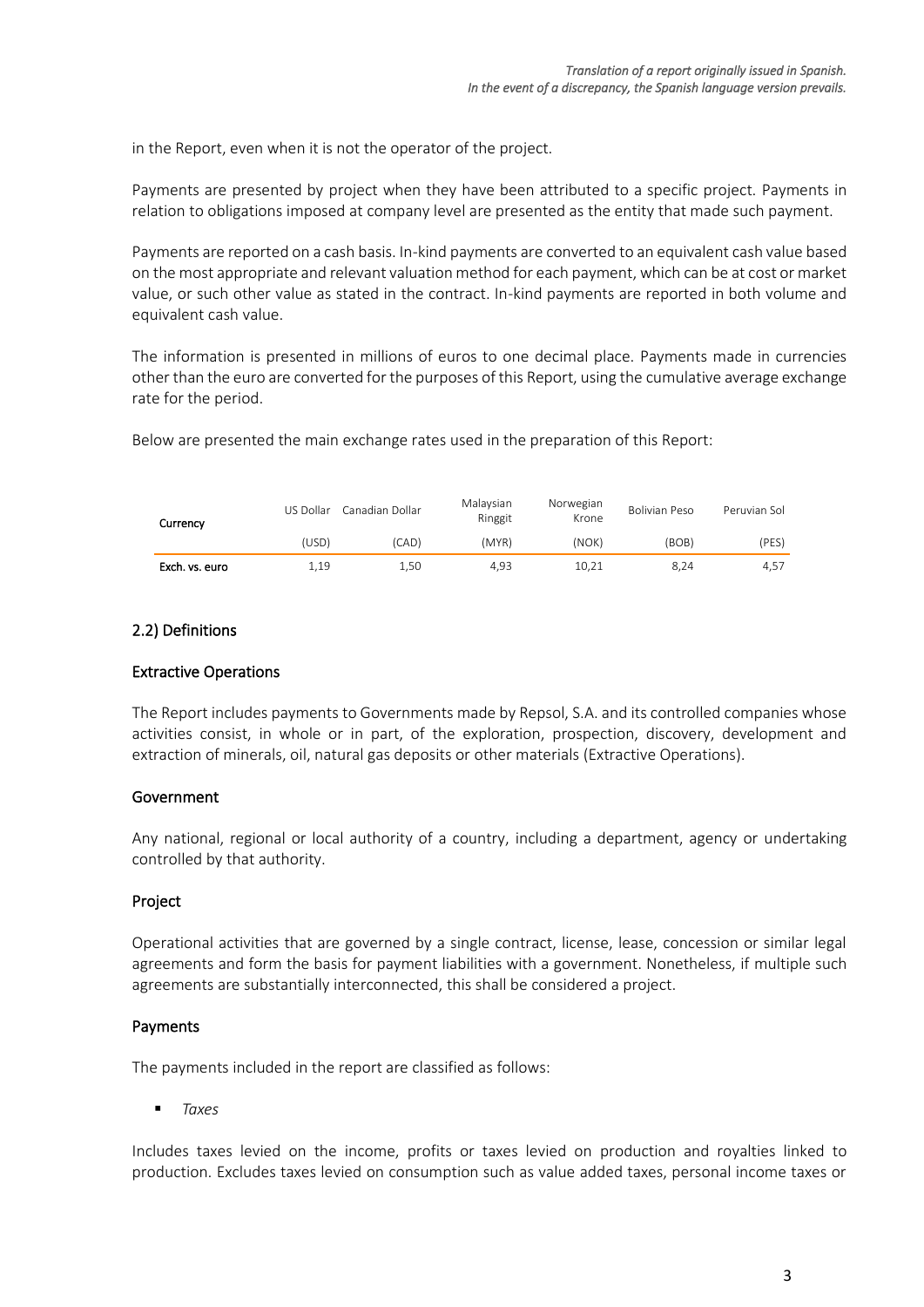in the Report, even when it is not the operator of the project.

Payments are presented by project when they have been attributed to a specific project. Payments in relation to obligations imposed at company level are presented as the entity that made such payment.

Payments are reported on a cash basis. In-kind payments are converted to an equivalent cash value based on the most appropriate and relevant valuation method for each payment, which can be at cost or market value, or such other value as stated in the contract. In-kind payments are reported in both volume and equivalent cash value.

The information is presented in millions of euros to one decimal place. Payments made in currencies other than the euro are converted for the purposes of this Report, using the cumulative average exchange rate for the period.

Below are presented the main exchange rates used in the preparation of this Report:

| Currency       | US Dollar | Canadian Dollar | Malaysian<br>Ringgit | Norwegian<br>Krone | Bolivian Peso | Peruvian Sol |
|----------------|-----------|-----------------|----------------------|--------------------|---------------|--------------|
|                | (USD)     | (CAD)           | (MYR)                | (NOK)              | (BOB)         | (PES)        |
| Exch. vs. euro | 1.19      | 1,50            | 4.93                 | 10.21              | 8.24          | 4.57         |

### 2.2) Definitions

### Extractive Operations

The Report includes payments to Governments made by Repsol, S.A. and its controlled companies whose activities consist, in whole or in part, of the exploration, prospection, discovery, development and extraction of minerals, oil, natural gas deposits or other materials (Extractive Operations).

#### Government

Any national, regional or local authority of a country, including a department, agency or undertaking controlled by that authority.

### Project

Operational activities that are governed by a single contract, license, lease, concession or similar legal agreements and form the basis for payment liabilities with a government. Nonetheless, if multiple such agreements are substantially interconnected, this shall be considered a project.

### Payments

The payments included in the report are classified as follows:

▪ *Taxes*

Includes taxes levied on the income, profits or taxes levied on production and royalties linked to production. Excludes taxes levied on consumption such as value added taxes, personal income taxes or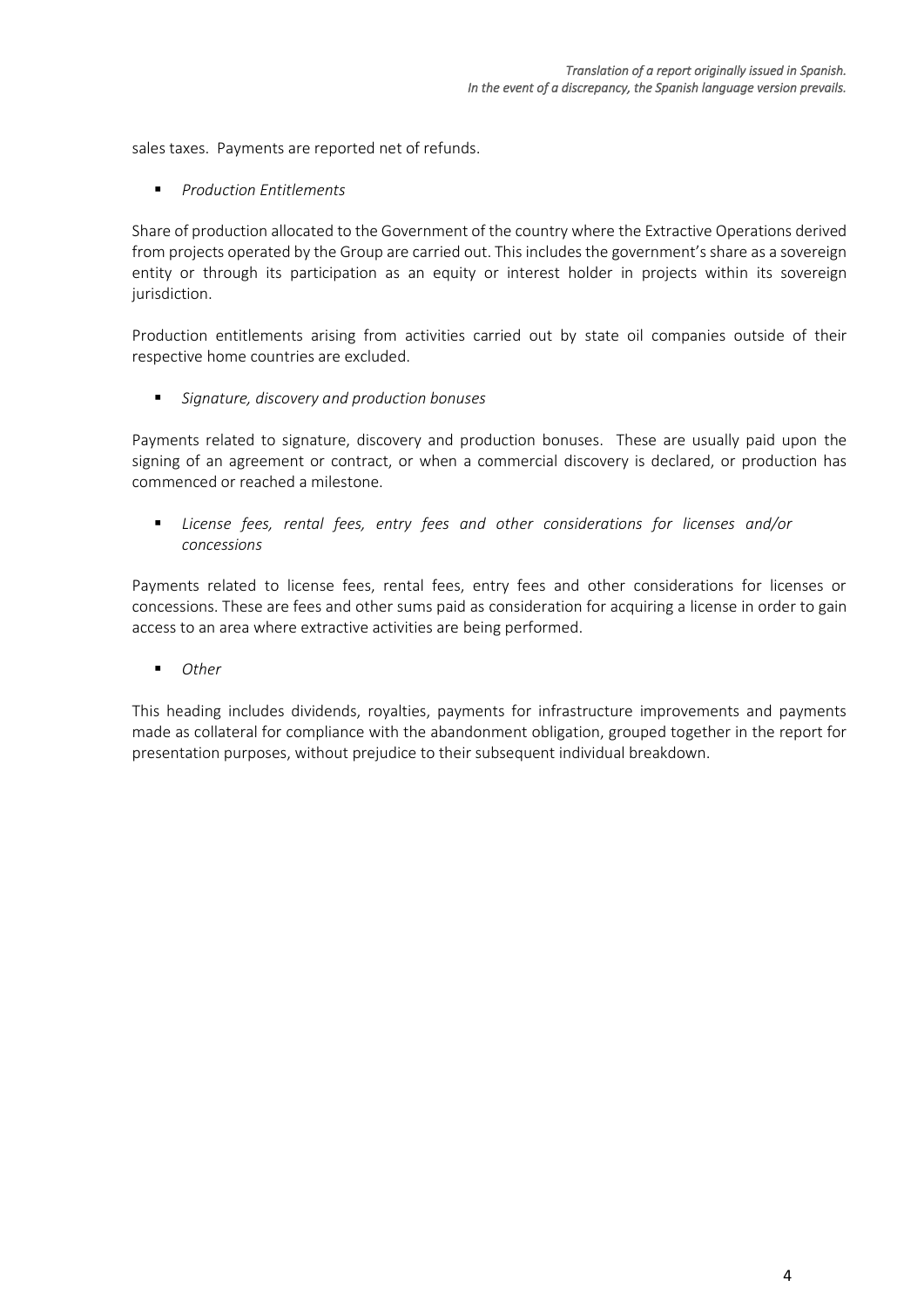sales taxes. Payments are reported net of refunds.

▪ *Production Entitlements*

Share of production allocated to the Government of the country where the Extractive Operations derived from projects operated by the Group are carried out. This includes the government's share as a sovereign entity or through its participation as an equity or interest holder in projects within its sovereign jurisdiction.

Production entitlements arising from activities carried out by state oil companies outside of their respective home countries are excluded.

▪ *Signature, discovery and production bonuses*

Payments related to signature, discovery and production bonuses. These are usually paid upon the signing of an agreement or contract, or when a commercial discovery is declared, or production has commenced or reached a milestone.

▪ *License fees, rental fees, entry fees and other considerations for licenses and/or concessions*

Payments related to license fees, rental fees, entry fees and other considerations for licenses or concessions. These are fees and other sums paid as consideration for acquiring a license in order to gain access to an area where extractive activities are being performed.

■ *Other* 

This heading includes dividends, royalties, payments for infrastructure improvements and payments made as collateral for compliance with the abandonment obligation, grouped together in the report for presentation purposes, without prejudice to their subsequent individual breakdown.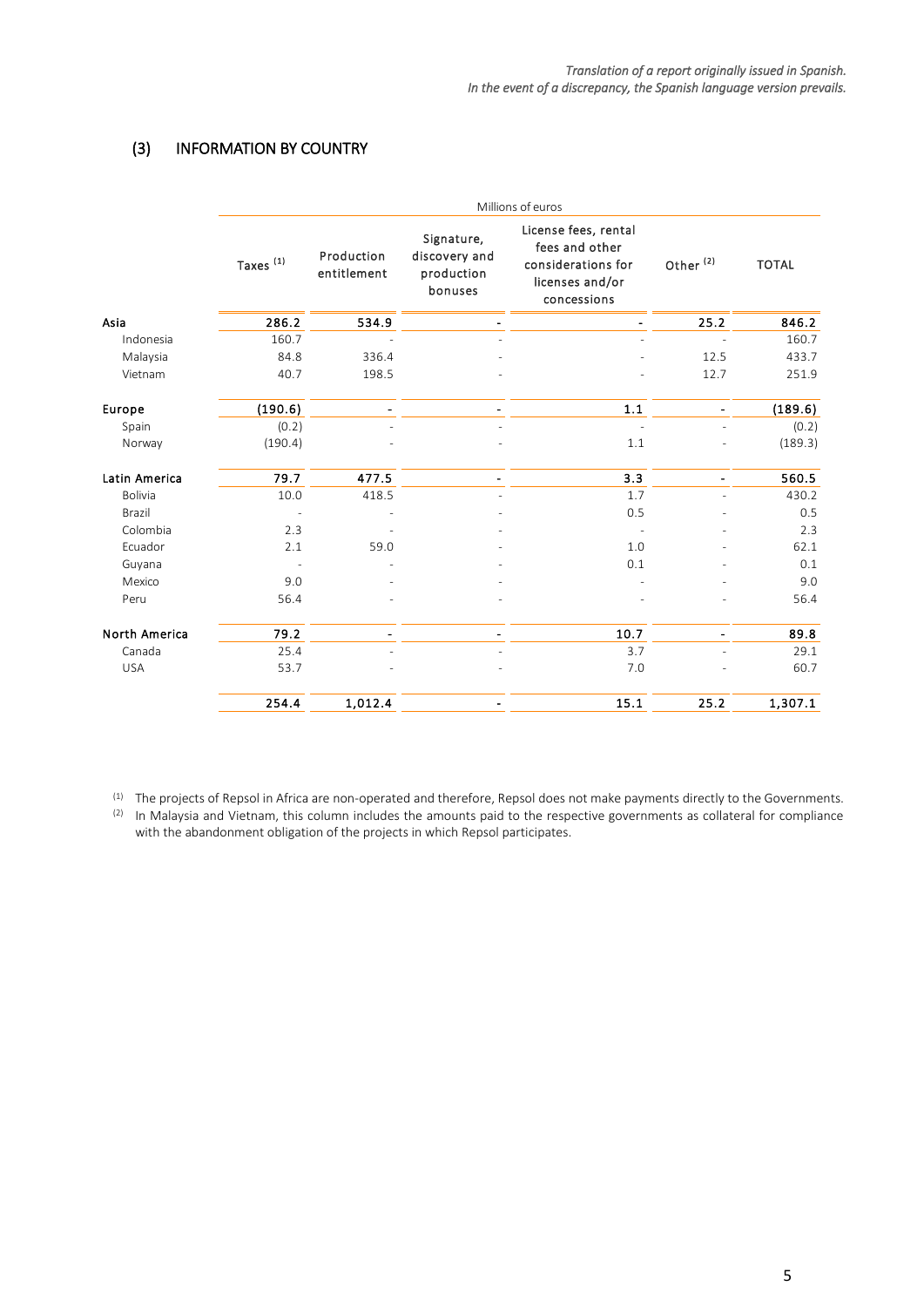# <span id="page-5-0"></span>(3) INFORMATION BY COUNTRY

|                      | Millions of euros    |                           |                                                      |                                                                                                |                              |              |  |  |
|----------------------|----------------------|---------------------------|------------------------------------------------------|------------------------------------------------------------------------------------------------|------------------------------|--------------|--|--|
|                      | Taxes <sup>(1)</sup> | Production<br>entitlement | Signature,<br>discovery and<br>production<br>bonuses | License fees, rental<br>fees and other<br>considerations for<br>licenses and/or<br>concessions | Other <sup>(2)</sup>         | <b>TOTAL</b> |  |  |
| Asia                 | 286.2                | 534.9                     |                                                      |                                                                                                | 25.2                         | 846.2        |  |  |
| Indonesia            | 160.7                |                           |                                                      |                                                                                                | $\overline{a}$               | 160.7        |  |  |
| Malaysia             | 84.8                 | 336.4                     |                                                      |                                                                                                | 12.5                         | 433.7        |  |  |
| Vietnam              | 40.7                 | 198.5                     |                                                      |                                                                                                | 12.7                         | 251.9        |  |  |
| Europe               | (190.6)              |                           |                                                      | 1.1                                                                                            | $\qquad \qquad \blacksquare$ | (189.6)      |  |  |
| Spain                | (0.2)                |                           |                                                      |                                                                                                |                              | (0.2)        |  |  |
| Norway               | (190.4)              |                           |                                                      | 1.1                                                                                            |                              | (189.3)      |  |  |
| Latin America        | 79.7                 | 477.5                     | $\overline{a}$                                       | 3.3                                                                                            | $\qquad \qquad \blacksquare$ | 560.5        |  |  |
| Bolivia              | 10.0                 | 418.5                     |                                                      | 1.7                                                                                            |                              | 430.2        |  |  |
| Brazil               |                      |                           |                                                      | 0.5                                                                                            |                              | 0.5          |  |  |
| Colombia             | 2.3                  |                           |                                                      |                                                                                                |                              | 2.3          |  |  |
| Ecuador              | 2.1                  | 59.0                      |                                                      | 1.0                                                                                            |                              | 62.1         |  |  |
| Guyana               |                      |                           |                                                      | 0.1                                                                                            |                              | 0.1          |  |  |
| Mexico               | 9.0                  |                           |                                                      |                                                                                                |                              | 9.0          |  |  |
| Peru                 | 56.4                 |                           |                                                      |                                                                                                |                              | 56.4         |  |  |
| <b>North America</b> | 79.2                 |                           | $\qquad \qquad \blacksquare$                         | 10.7                                                                                           | $\overline{\phantom{a}}$     | 89.8         |  |  |
| Canada               | 25.4                 |                           |                                                      | 3.7                                                                                            |                              | 29.1         |  |  |
| <b>USA</b>           | 53.7                 |                           |                                                      | 7.0                                                                                            |                              | 60.7         |  |  |
|                      | 254.4                | 1,012.4                   |                                                      | 15.1                                                                                           | 25.2                         | 1,307.1      |  |  |

 $^{(1)}$  The projects of Repsol in Africa are non-operated and therefore, Repsol does not make payments directly to the Governments.

(2) In Malaysia and Vietnam, this column includes the amounts paid to the respective governments as collateral for compliance with the abandonment obligation of the projects in which Repsol participates.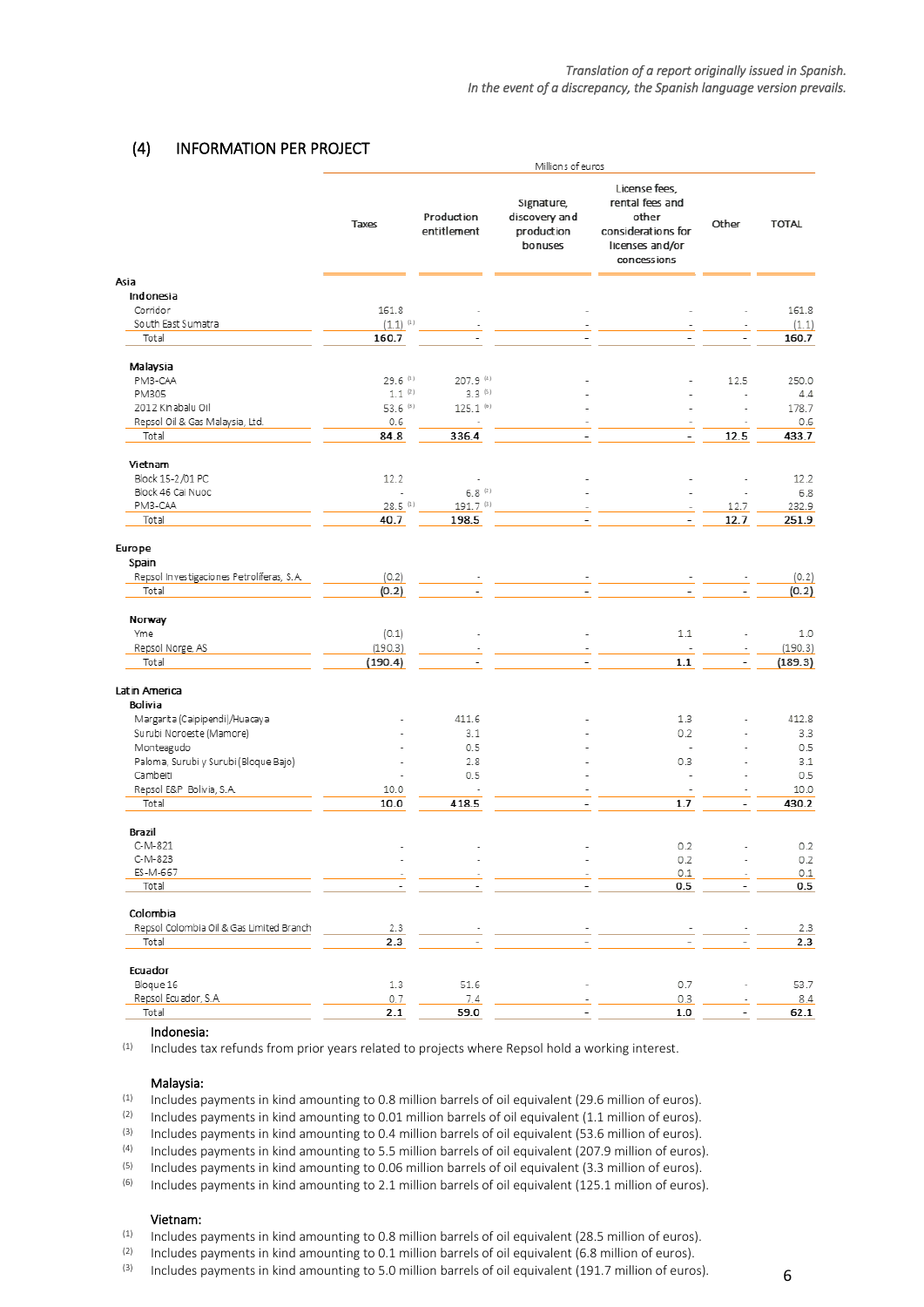#### *Translation of a report originally issued in Spanish. In the event of a discrepancy, the Spanish language version prevails.*

## <span id="page-6-0"></span>(4) INFORMATION PER PROJECT

|                                           | Millions of euros        |                           |                                                      |                                                                                                   |                          |                |
|-------------------------------------------|--------------------------|---------------------------|------------------------------------------------------|---------------------------------------------------------------------------------------------------|--------------------------|----------------|
|                                           | Taxes                    | Production<br>entitlement | Signature,<br>discovery and<br>production<br>bonuses | License fees,<br>rental fees and<br>other<br>considerations for<br>licenses and/or<br>concessions | Other                    | <b>TOTAL</b>   |
| Asia<br>Indonesia                         |                          |                           |                                                      |                                                                                                   |                          |                |
| Corridor                                  | 161.8                    |                           |                                                      |                                                                                                   |                          | 161.8          |
| South East Sumatra                        |                          |                           |                                                      |                                                                                                   |                          |                |
| Total                                     | $(1.1)^{(1)}$<br>160.7   |                           |                                                      |                                                                                                   |                          | (1.1)<br>160.7 |
|                                           |                          |                           |                                                      |                                                                                                   |                          |                |
| Malaysia                                  |                          |                           |                                                      |                                                                                                   |                          |                |
| PM3-CAA                                   | $29.6$ <sup>(1)</sup>    | 207.9 (4)                 |                                                      |                                                                                                   | 12.5                     | 250.0          |
| PM305                                     | $1.1$ <sup>(2)</sup>     | $3.3^{(5)}$               |                                                      |                                                                                                   |                          | 4.4            |
| 2012 Kinabalu Oil                         | 53.6 (3)                 | $125.1^{(6)}$             |                                                      |                                                                                                   |                          | 178.7          |
| Repsol Oil & Gas Malaysia, Ltd.           | 0.6                      | $\overline{\phantom{a}}$  |                                                      |                                                                                                   |                          | 0.6            |
| Total                                     | 84.8                     | 336.4                     |                                                      |                                                                                                   | 12.5                     | 433.7          |
| Vietnam                                   |                          |                           |                                                      |                                                                                                   |                          |                |
| Block 15-2/01 PC                          | 12.2                     | $\overline{a}$            |                                                      |                                                                                                   |                          | 12.2           |
| Block 46 Cai Nuoc                         | ÷,                       | $6.8^{(2)}$               |                                                      |                                                                                                   | ÷                        | 6.8            |
| PM3-CAA                                   | $28.5$ <sup>(1)</sup>    | 191.7 (3)                 |                                                      |                                                                                                   | 12.7                     | 232.9          |
| Total                                     | 40.7                     | 198.5                     |                                                      |                                                                                                   | 12.7                     | 251.9          |
|                                           |                          |                           |                                                      |                                                                                                   |                          |                |
| Europe                                    |                          |                           |                                                      |                                                                                                   |                          |                |
| Spain                                     |                          |                           |                                                      |                                                                                                   |                          |                |
| Repsol Investigaciones Petrolíferas, S.A. | (0.2)                    |                           |                                                      |                                                                                                   |                          | (0.2)          |
| Total                                     | (0.2)                    |                           |                                                      |                                                                                                   |                          | (0.2)          |
| Norway                                    |                          |                           |                                                      |                                                                                                   |                          |                |
| Yme                                       | (0.1)                    | ÷                         |                                                      | 1.1                                                                                               |                          | 1.0            |
| Repsol Norge, AS                          | (190.3)                  | $\overline{\phantom{a}}$  |                                                      | $\overline{\phantom{a}}$                                                                          |                          | (190.3)        |
| Total                                     | (190.4)                  | $\overline{\phantom{a}}$  | $\overline{\phantom{a}}$                             | 1.1                                                                                               | $\overline{\phantom{a}}$ | (189.3)        |
| Latin America                             |                          |                           |                                                      |                                                                                                   |                          |                |
| Bolivia                                   |                          |                           |                                                      |                                                                                                   |                          |                |
| Margarita (Caipipendi)/Huacaya            |                          | 411.6                     |                                                      | 1.3                                                                                               |                          | 412.8          |
| Surubi Noroeste (Mamore)                  |                          | 3.1                       |                                                      | 0.2                                                                                               |                          | 3.3            |
| Monteagudo                                |                          | 0.5                       |                                                      | $\overline{\phantom{a}}$                                                                          |                          | 0.5            |
| Paloma, Surubi y Surubi (Bloque Bajo)     |                          | 2.8                       |                                                      | 0.3                                                                                               |                          | 3.1            |
| Cambeiti                                  |                          | 0.5                       |                                                      | ä,                                                                                                |                          | 0.5            |
| Repsol E&P Bolivia, S.A.                  | 10.0                     | L,                        |                                                      |                                                                                                   |                          | 10.0           |
| Total                                     | 10.0                     | 418.5                     |                                                      | 1.7                                                                                               |                          | 430.2          |
| Brazil                                    |                          |                           |                                                      |                                                                                                   |                          |                |
| C-M-821                                   |                          |                           |                                                      | 0.2                                                                                               |                          | 0.2            |
| C-M-823                                   |                          |                           |                                                      | 0.2                                                                                               | $\overline{\phantom{a}}$ | 0.2            |
| ES-M-667                                  |                          |                           |                                                      | $0.1$                                                                                             |                          | $0.1$          |
| Total                                     | $\overline{\phantom{m}}$ | $\overline{\phantom{0}}$  |                                                      | 0.5                                                                                               |                          | 0.5            |
|                                           |                          |                           |                                                      |                                                                                                   |                          |                |
| Colombia                                  |                          |                           |                                                      |                                                                                                   |                          |                |
| Repsol Colombia Oil & Gas Limited Branch  | 2.3                      |                           |                                                      |                                                                                                   |                          | 2.3            |
| Total                                     | 2.3                      |                           | $\overline{a}$                                       |                                                                                                   |                          | 2.3            |
| Ecuador                                   |                          |                           |                                                      |                                                                                                   |                          |                |
| Bloque 16                                 | 1.3                      | 51.6                      |                                                      | 0.7                                                                                               |                          | 53.7           |
| Repsol Ecuador, S.A.                      | 0.7                      | 7.4                       |                                                      | 0.3                                                                                               |                          | 8.4            |
| Total                                     | 2.1                      | 59.0                      |                                                      | 1.0                                                                                               | $\overline{\phantom{a}}$ | 62.1           |

#### Indonesia:

 $(1)$  Includes tax refunds from prior years related to projects where Repsol hold a working interest.

#### Malaysia:

(1) Includes payments in kind amounting to 0.8 million barrels of oil equivalent (29.6 million of euros).<br>(2) Includes payments in kind amounting to 0.01 million barrels of oil equivalent (1.1 million of euros)

(2) Includes payments in kind amounting to 0.01 million barrels of oil equivalent (1.1 million of euros).<br>(3) Includes payments in kind amounting to 0.4 million barrels of oil equivalent (53.6 million of euros).

(3) Includes payments in kind amounting to 0.4 million barrels of oil equivalent (53.6 million of euros).<br>(4) Includes payments in kind amounting to 5.5 million barrels of oil equivalent (207.9 million of euros)

(4) Includes payments in kind amounting to 5.5 million barrels of oil equivalent (207.9 million of euros).<br>(5) Includes payments in kind amounting to 0.06 million barrels of oil equivalent (3.3 million of euros).

Includes payments in kind amounting to 0.06 million barrels of oil equivalent (3.3 million of euros).

 $(6)$  Includes payments in kind amounting to 2.1 million barrels of oil equivalent (125.1 million of euros).

#### Vietnam:

(1) Includes payments in kind amounting to 0.8 million barrels of oil equivalent (28.5 million of euros).

(2) Includes payments in kind amounting to 0.1 million barrels of oil equivalent (6.8 million of euros).<br>(3) Includes payments in kind amounting to 5.0 million barrels of oil equivalent (191.7 million of euro

Includes payments in kind amounting to 5.0 million barrels of oil equivalent (191.7 million of euros).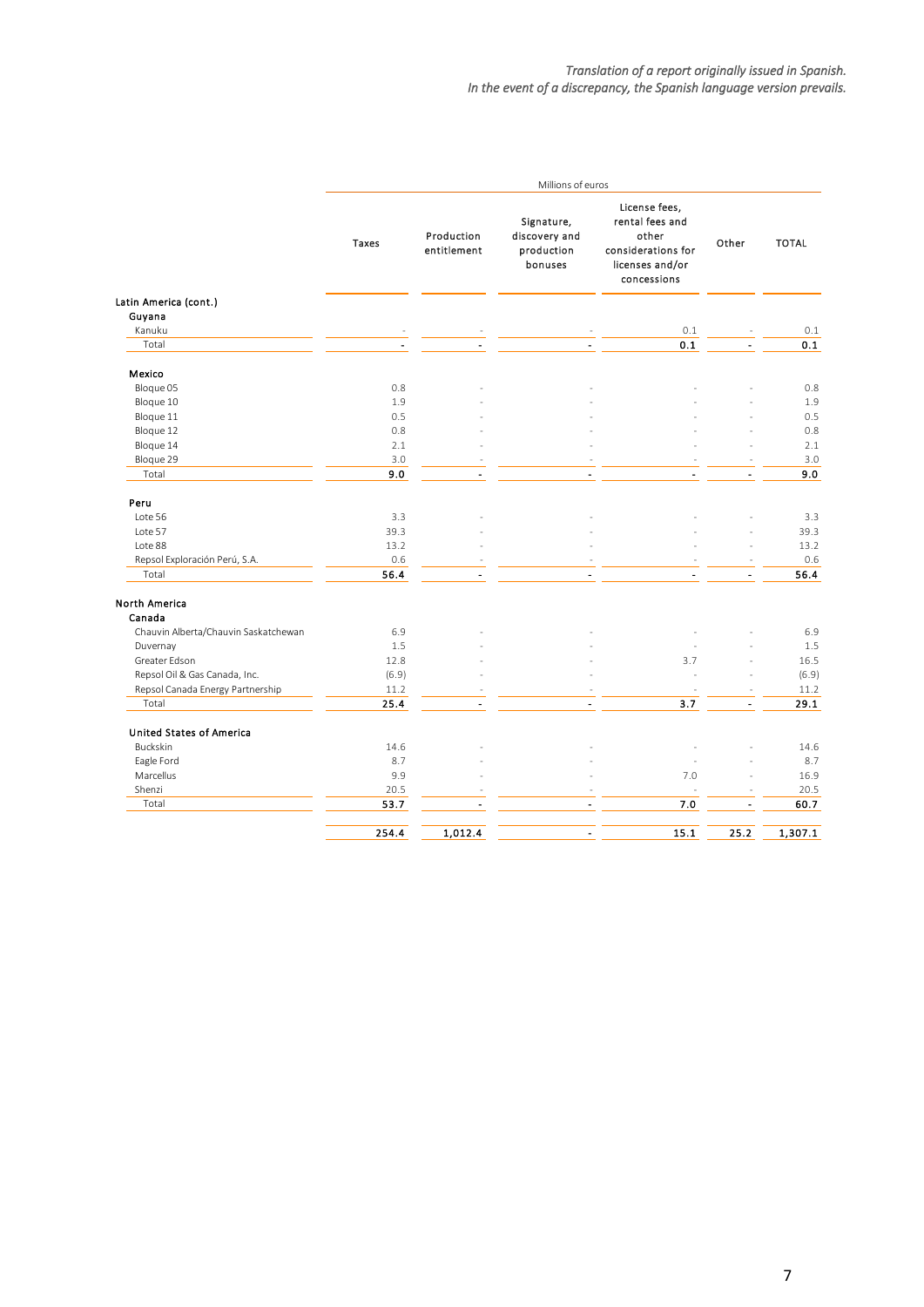|                                      |                |                           | Millions of euros                                    |                                                                                                   |                      |              |
|--------------------------------------|----------------|---------------------------|------------------------------------------------------|---------------------------------------------------------------------------------------------------|----------------------|--------------|
|                                      | Taxes          | Production<br>entitlement | Signature,<br>discovery and<br>production<br>bonuses | License fees,<br>rental fees and<br>other<br>considerations for<br>licenses and/or<br>concessions | Other                | <b>TOTAL</b> |
| Latin America (cont.)                |                |                           |                                                      |                                                                                                   |                      |              |
| Guyana                               |                |                           |                                                      |                                                                                                   |                      |              |
| Kanuku                               |                |                           |                                                      | 0.1                                                                                               |                      | 0.1          |
| Total                                | $\blacksquare$ | $\overline{a}$            | $\blacksquare$                                       | 0.1                                                                                               |                      | 0.1          |
| Mexico                               |                |                           |                                                      |                                                                                                   |                      |              |
| Bloque 05                            | 0.8            |                           |                                                      |                                                                                                   |                      | 0.8          |
| Bloque 10                            | 1.9            |                           |                                                      |                                                                                                   |                      | 1.9          |
| Bloque 11                            | 0.5            |                           |                                                      |                                                                                                   |                      | 0.5          |
| Bloque 12                            | 0.8            |                           |                                                      |                                                                                                   |                      | 0.8          |
| Bloque 14                            | 2.1            |                           |                                                      |                                                                                                   |                      | 2.1          |
| Bloque 29                            | 3.0            |                           |                                                      |                                                                                                   |                      | 3.0          |
| Total                                | 9.0            | $\overline{\phantom{a}}$  | $\ddot{\phantom{a}}$                                 |                                                                                                   |                      | 9.0          |
| Peru                                 |                |                           |                                                      |                                                                                                   |                      |              |
| Lote 56                              | 3.3            |                           |                                                      |                                                                                                   |                      | 3.3          |
| Lote 57                              | 39.3           |                           |                                                      |                                                                                                   |                      | 39.3         |
| Lote 88                              | 13.2           |                           |                                                      |                                                                                                   |                      | 13.2         |
| Repsol Exploración Perú, S.A.        | 0.6            |                           |                                                      |                                                                                                   |                      | 0.6          |
| Total                                | 56.4           | $\blacksquare$            | $\blacksquare$                                       |                                                                                                   | $\overline{a}$       | 56.4         |
| <b>North America</b><br>Canada       |                |                           |                                                      |                                                                                                   |                      |              |
| Chauvin Alberta/Chauvin Saskatchewan | 6.9            |                           |                                                      |                                                                                                   |                      | 6.9          |
| Duvernay                             | 1.5            |                           |                                                      |                                                                                                   |                      | 1.5          |
| Greater Edson                        | 12.8           |                           |                                                      | 3.7                                                                                               |                      | 16.5         |
| Repsol Oil & Gas Canada, Inc.        | (6.9)          |                           |                                                      |                                                                                                   |                      | (6.9)        |
| Repsol Canada Energy Partnership     | 11.2           |                           |                                                      |                                                                                                   |                      | 11.2         |
| Total                                | 25.4           | $\overline{a}$            | $\overline{a}$                                       | 3.7                                                                                               |                      | 29.1         |
| <b>United States of America</b>      |                |                           |                                                      |                                                                                                   |                      |              |
| <b>Buckskin</b>                      | 14.6           |                           |                                                      |                                                                                                   |                      | 14.6         |
| Eagle Ford                           | 8.7            |                           |                                                      |                                                                                                   |                      | 8.7          |
| Marcellus                            | 9.9            |                           |                                                      | 7.0                                                                                               |                      | 16.9         |
| Shenzi                               | 20.5           |                           |                                                      |                                                                                                   |                      | 20.5         |
| Total                                | 53.7           | $\overline{a}$            | $\blacksquare$                                       | 7.0                                                                                               | $\ddot{\phantom{1}}$ | 60.7         |
|                                      | 254.4          | 1,012.4                   | $\overline{\phantom{a}}$                             | 15.1                                                                                              | 25.2                 | 1,307.1      |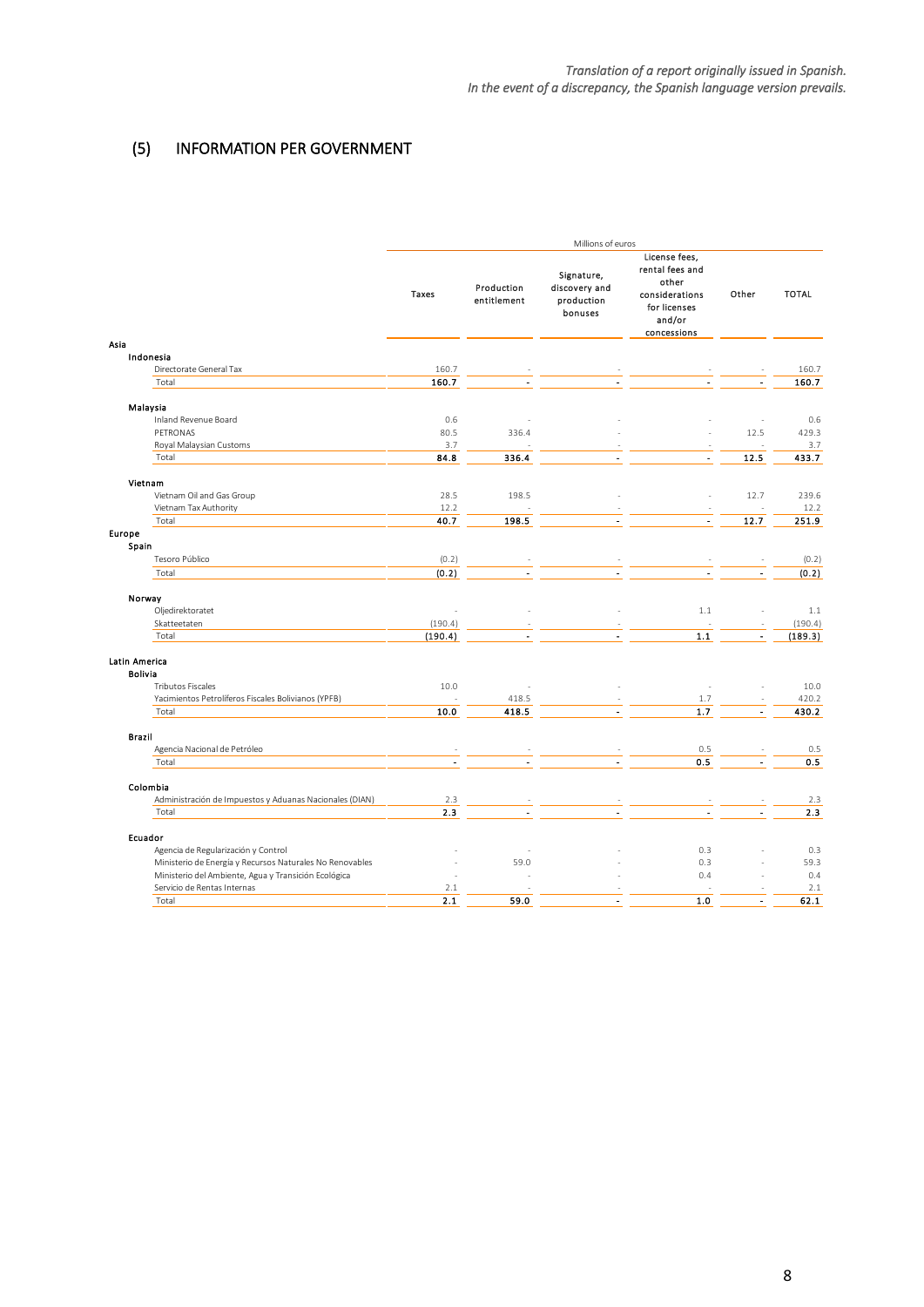# <span id="page-8-0"></span>(5) INFORMATION PER GOVERNMENT

|                                                                  | Millions of euros |                           |                                                      |                                                                                                      |       |              |  |
|------------------------------------------------------------------|-------------------|---------------------------|------------------------------------------------------|------------------------------------------------------------------------------------------------------|-------|--------------|--|
| Asia                                                             | Taxes             | Production<br>entitlement | Signature,<br>discovery and<br>production<br>bonuses | License fees,<br>rental fees and<br>other<br>considerations<br>for licenses<br>and/or<br>concessions | Other | <b>TOTAL</b> |  |
| Indonesia                                                        |                   |                           |                                                      |                                                                                                      |       |              |  |
| Directorate General Tax                                          | 160.7             |                           |                                                      |                                                                                                      |       | 160.7        |  |
| Total                                                            | 160.7             |                           |                                                      |                                                                                                      |       | 160.7        |  |
|                                                                  |                   |                           |                                                      |                                                                                                      |       |              |  |
| Malaysia                                                         |                   |                           |                                                      |                                                                                                      |       |              |  |
| Inland Revenue Board                                             | 0.6               |                           |                                                      |                                                                                                      |       | 0.6          |  |
| PETRONAS                                                         | 80.5              | 336.4                     |                                                      |                                                                                                      | 12.5  | 429.3        |  |
| Royal Malaysian Customs                                          | 3.7               |                           |                                                      |                                                                                                      |       | 3.7          |  |
| Total                                                            | 84.8              | 336.4                     |                                                      | ä,                                                                                                   | 12.5  | 433.7        |  |
|                                                                  |                   |                           |                                                      |                                                                                                      |       |              |  |
| Vietnam                                                          |                   |                           |                                                      |                                                                                                      |       |              |  |
| Vietnam Oil and Gas Group                                        | 28.5              | 198.5                     |                                                      |                                                                                                      | 12.7  | 239.6        |  |
| Vietnam Tax Authority                                            | 12.2              |                           |                                                      |                                                                                                      |       | 12.2         |  |
| Total                                                            | 40.7              | 198.5                     |                                                      | $\overline{a}$                                                                                       | 12.7  | 251.9        |  |
| Europe                                                           |                   |                           |                                                      |                                                                                                      |       |              |  |
| Spain                                                            |                   |                           |                                                      |                                                                                                      |       |              |  |
| Tesoro Público                                                   | (0.2)             |                           |                                                      |                                                                                                      |       | (0.2)        |  |
| Total                                                            | (0.2)             |                           |                                                      |                                                                                                      |       | (0.2)        |  |
|                                                                  |                   |                           |                                                      |                                                                                                      |       |              |  |
| Norway<br>Oljedirektoratet                                       |                   |                           |                                                      | $1.1\,$                                                                                              |       | 1.1          |  |
| Skatteetaten                                                     | (190.4)           |                           |                                                      |                                                                                                      |       | (190.4)      |  |
| Total                                                            | (190.4)           |                           |                                                      | 1.1                                                                                                  |       | (189.3)      |  |
|                                                                  |                   |                           |                                                      |                                                                                                      |       |              |  |
| Latin America                                                    |                   |                           |                                                      |                                                                                                      |       |              |  |
| <b>Bolivia</b>                                                   |                   |                           |                                                      |                                                                                                      |       |              |  |
| <b>Tributos Fiscales</b>                                         | 10.0              |                           |                                                      |                                                                                                      |       | 10.0         |  |
| Yacimientos Petrolíferos Fiscales Bolivianos (YPFB)              |                   | 418.5                     |                                                      | 1.7                                                                                                  |       | 420.2        |  |
| Total                                                            | 10.0              | 418.5                     |                                                      | 1.7                                                                                                  |       | 430.2        |  |
|                                                                  |                   |                           |                                                      |                                                                                                      |       |              |  |
| <b>Brazil</b>                                                    |                   |                           |                                                      |                                                                                                      |       |              |  |
| Agencia Nacional de Petróleo                                     |                   |                           |                                                      | 0.5                                                                                                  |       | 0.5          |  |
| Total                                                            |                   |                           |                                                      | 0.5                                                                                                  |       | 0.5          |  |
|                                                                  |                   |                           |                                                      |                                                                                                      |       |              |  |
| Colombia                                                         |                   |                           |                                                      |                                                                                                      |       |              |  |
| Administración de Impuestos y Aduanas Nacionales (DIAN)<br>Total | 2.3<br>2.3        |                           |                                                      |                                                                                                      |       | 2.3<br>2.3   |  |
|                                                                  |                   |                           |                                                      |                                                                                                      |       |              |  |
| Ecuador                                                          |                   |                           |                                                      |                                                                                                      |       |              |  |
| Agencia de Regularización y Control                              |                   |                           |                                                      | 0.3                                                                                                  |       | 0.3          |  |
| Ministerio de Energía y Recursos Naturales No Renovables         |                   | 59.0                      |                                                      | 0.3                                                                                                  |       | 59.3         |  |
| Ministerio del Ambiente, Agua y Transición Ecológica             |                   |                           |                                                      | 0.4                                                                                                  |       | 0.4          |  |
| Servicio de Rentas Internas                                      | 2.1               |                           |                                                      |                                                                                                      |       | 2.1          |  |
| Total                                                            | 2.1               | 59.0                      | ÷.                                                   | 1.0                                                                                                  | ä,    | 62.1         |  |
|                                                                  |                   |                           |                                                      |                                                                                                      |       |              |  |